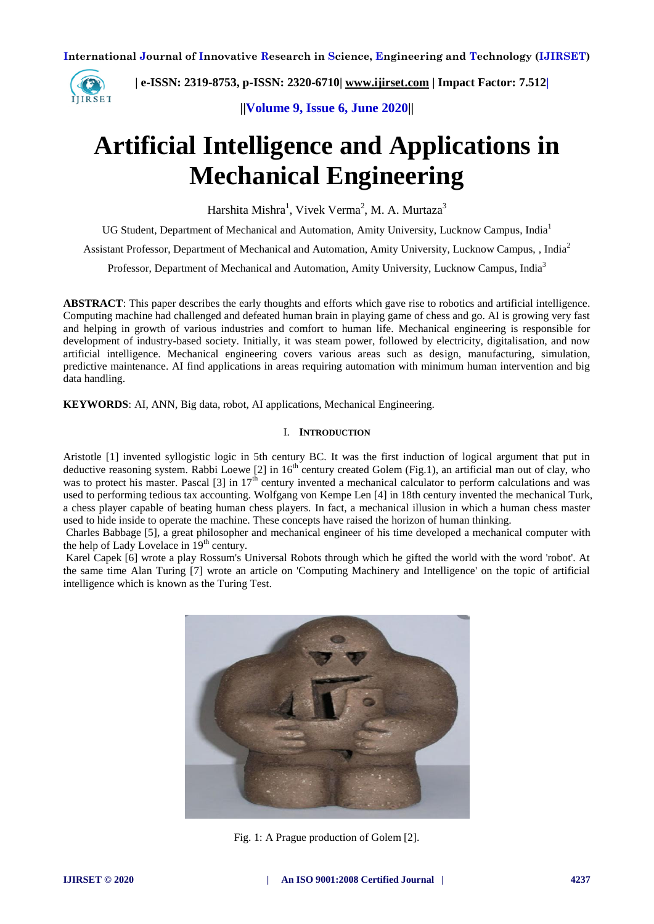

 **| e-ISSN: 2319-8753, p-ISSN: 2320-6710| [www.ijirset.com](http://www.ijirset.com/) | Impact Factor: 7.512|**

**||Volume 9, Issue 6, June 2020||** 

# **Artificial Intelligence and Applications in Mechanical Engineering**

Harshita Mishra<sup>1</sup>, Vivek Verma<sup>2</sup>, M. A. Murtaza<sup>3</sup>

UG Student, Department of Mechanical and Automation, Amity University, Lucknow Campus, India<sup>1</sup>

Assistant Professor, Department of Mechanical and Automation, Amity University, Lucknow Campus, , India<sup>2</sup>

Professor, Department of Mechanical and Automation, Amity University, Lucknow Campus, India<sup>3</sup>

**ABSTRACT**: This paper describes the early thoughts and efforts which gave rise to robotics and artificial intelligence. Computing machine had challenged and defeated human brain in playing game of chess and go. AI is growing very fast and helping in growth of various industries and comfort to human life. Mechanical engineering is responsible for development of industry-based society. Initially, it was steam power, followed by electricity, digitalisation, and now artificial intelligence. Mechanical engineering covers various areas such as design, manufacturing, simulation, predictive maintenance. AI find applications in areas requiring automation with minimum human intervention and big data handling.

**KEYWORDS**: AI, ANN, Big data, robot, AI applications, Mechanical Engineering.

### I. **INTRODUCTION**

Aristotle [1] invented syllogistic logic in 5th century BC. It was the first induction of logical argument that put in deductive reasoning system. Rabbi Loewe [2] in 16<sup>th</sup> century created Golem (Fig.1), an artificial man out of clay, who was to protect his master. Pascal [3] in  $17<sup>th</sup>$  century invented a mechanical calculator to perform calculations and was used to performing tedious tax accounting. Wolfgang von Kempe Len [4] in 18th century invented the mechanical Turk, a chess player capable of beating human chess players. In fact, a mechanical illusion in which a human chess master used to hide inside to operate the machine. These concepts have raised the horizon of human thinking.

Charles Babbage [5], a great philosopher and mechanical engineer of his time developed a mechanical computer with the help of Lady Lovelace in  $19<sup>th</sup>$  century.

Karel Capek [6] wrote a play Rossum's Universal Robots through which he gifted the world with the word 'robot'. At the same time Alan Turing [7] wrote an article on 'Computing Machinery and Intelligence' on the topic of artificial intelligence which is known as the Turing Test.



Fig. 1: A Prague production of Golem [2].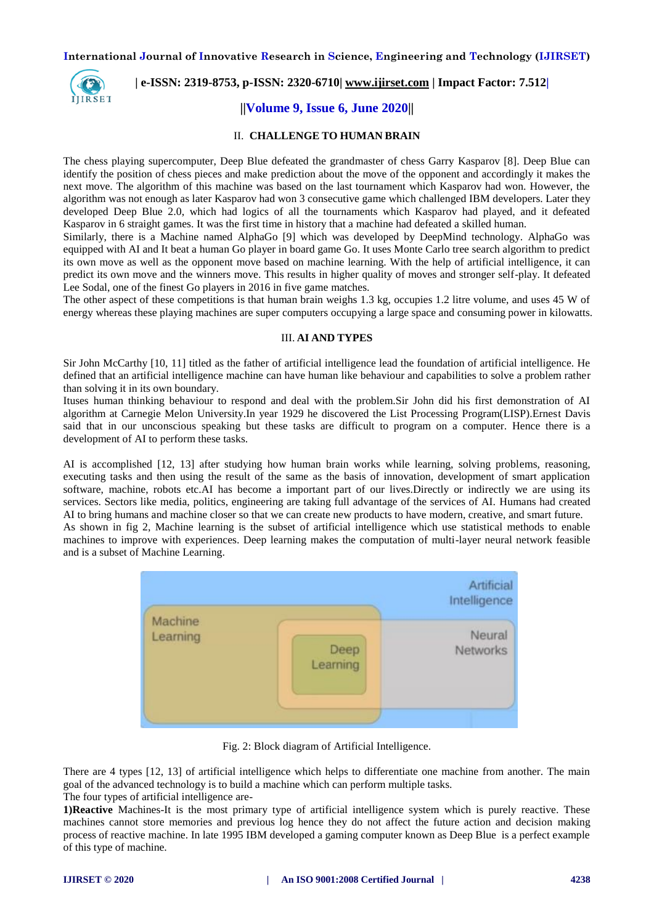

# **| e-ISSN: 2319-8753, p-ISSN: 2320-6710| [www.ijirset.com](http://www.ijirset.com/) | Impact Factor: 7.512|**

# **||Volume 9, Issue 6, June 2020||**

#### II. **CHALLENGE TO HUMAN BRAIN**

The chess playing supercomputer, Deep Blue defeated the grandmaster of chess Garry Kasparov [8]. Deep Blue can identify the position of chess pieces and make prediction about the move of the opponent and accordingly it makes the next move. The algorithm of this machine was based on the last tournament which Kasparov had won. However, the algorithm was not enough as later Kasparov had won 3 consecutive game which challenged IBM developers. Later they developed Deep Blue 2.0, which had logics of all the tournaments which Kasparov had played, and it defeated Kasparov in 6 straight games. It was the first time in history that a machine had defeated a skilled human.

Similarly, there is a Machine named AlphaGo [9] which was developed by DeepMind technology. AlphaGo was equipped with AI and It beat a human Go player in board game Go. It uses Monte Carlo tree search algorithm to predict its own move as well as the opponent move based on machine learning. With the help of artificial intelligence, it can predict its own move and the winners move. This results in higher quality of moves and stronger self-play. It defeated Lee Sodal, one of the finest Go players in 2016 in five game matches.

The other aspect of these competitions is that human brain weighs 1.3 kg, occupies 1.2 litre volume, and uses 45 W of energy whereas these playing machines are super computers occupying a large space and consuming power in kilowatts.

#### III. **AI AND TYPES**

Sir John McCarthy [10, 11] titled as the father of artificial intelligence lead the foundation of artificial intelligence. He defined that an artificial intelligence machine can have human like behaviour and capabilities to solve a problem rather than solving it in its own boundary.

Ituses human thinking behaviour to respond and deal with the problem.Sir John did his first demonstration of AI algorithm at Carnegie Melon University.In year 1929 he discovered the List Processing Program(LISP).Ernest Davis said that in our unconscious speaking but these tasks are difficult to program on a computer. Hence there is a development of AI to perform these tasks.

AI is accomplished [12, 13] after studying how human brain works while learning, solving problems, reasoning, executing tasks and then using the result of the same as the basis of innovation, development of smart application software, machine, robots etc.AI has become a important part of our lives.Directly or indirectly we are using its services. Sectors like media, politics, engineering are taking full advantage of the services of AI. Humans had created AI to bring humans and machine closer so that we can create new products to have modern, creative, and smart future. As shown in fig 2, Machine learning is the subset of artificial intelligence which use statistical methods to enable machines to improve with experiences. Deep learning makes the computation of multi-layer neural network feasible

and is a subset of Machine Learning.



Fig. 2: Block diagram of Artificial Intelligence.

There are 4 types [12, 13] of artificial intelligence which helps to differentiate one machine from another. The main goal of the advanced technology is to build a machine which can perform multiple tasks.

The four types of artificial intelligence are-

**1)Reactive** Machines-It is the most primary type of artificial intelligence system which is purely reactive. These machines cannot store memories and previous log hence they do not affect the future action and decision making process of reactive machine. In late 1995 IBM developed a gaming computer known as Deep Blue is a perfect example of this type of machine.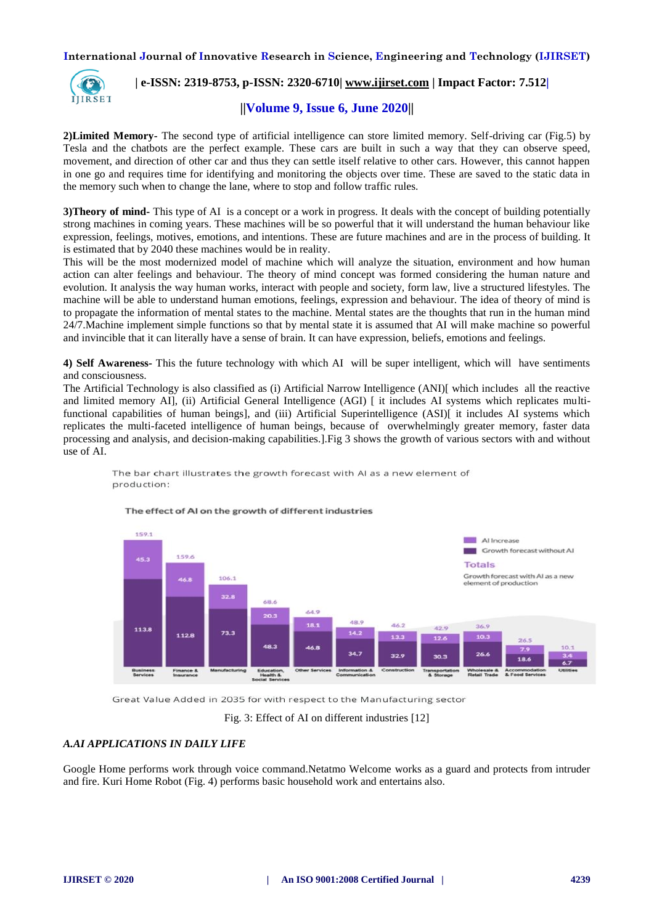

# **| e-ISSN: 2319-8753, p-ISSN: 2320-6710| [www.ijirset.com](http://www.ijirset.com/) | Impact Factor: 7.512|**

# **||Volume 9, Issue 6, June 2020||**

**2)Limited Memory-** The second type of artificial intelligence can store limited memory. Self-driving car (Fig.5) by Tesla and the chatbots are the perfect example. These cars are built in such a way that they can observe speed, movement, and direction of other car and thus they can settle itself relative to other cars. However, this cannot happen in one go and requires time for identifying and monitoring the objects over time. These are saved to the static data in the memory such when to change the lane, where to stop and follow traffic rules.

**3)Theory of mind-** This type of AI is a concept or a work in progress. It deals with the concept of building potentially strong machines in coming years. These machines will be so powerful that it will understand the human behaviour like expression, feelings, motives, emotions, and intentions. These are future machines and are in the process of building. It is estimated that by 2040 these machines would be in reality.

This will be the most modernized model of machine which will analyze the situation, environment and how human action can alter feelings and behaviour. The theory of mind concept was formed considering the human nature and evolution. It analysis the way human works, interact with people and society, form law, live a structured lifestyles. The machine will be able to understand human emotions, feelings, expression and behaviour. The idea of theory of mind is to propagate the information of mental states to the machine. Mental states are the thoughts that run in the human mind 24/7.Machine implement simple functions so that by mental state it is assumed that AI will make machine so powerful and invincible that it can literally have a sense of brain. It can have expression, beliefs, emotions and feelings.

**4) Self Awareness-** This the future technology with which AI will be super intelligent, which will have sentiments and consciousness.

The Artificial Technology is also classified as (i) Artificial Narrow Intelligence (ANI)[ which includes all the reactive and limited memory AI], (ii) Artificial General Intelligence (AGI) [ it includes AI systems which replicates multifunctional capabilities of human beings], and (iii) Artificial Superintelligence (ASI)[ it includes AI systems which replicates the multi-faceted intelligence of human beings, because of overwhelmingly greater memory, faster data processing and analysis, and decision-making capabilities.].Fig 3 shows the growth of various sectors with and without use of AI.



#### The bar chart illustrates the growth forecast with AI as a new element of production:

Great Value Added in 2035 for with respect to the Manufacturing sector

Fig. 3: Effect of AI on different industries [12]

#### *A.AI APPLICATIONS IN DAILY LIFE*

Google Home performs work through voice command.Netatmo Welcome works as a guard and protects from intruder and fire. Kuri Home Robot (Fig. 4) performs basic household work and entertains also.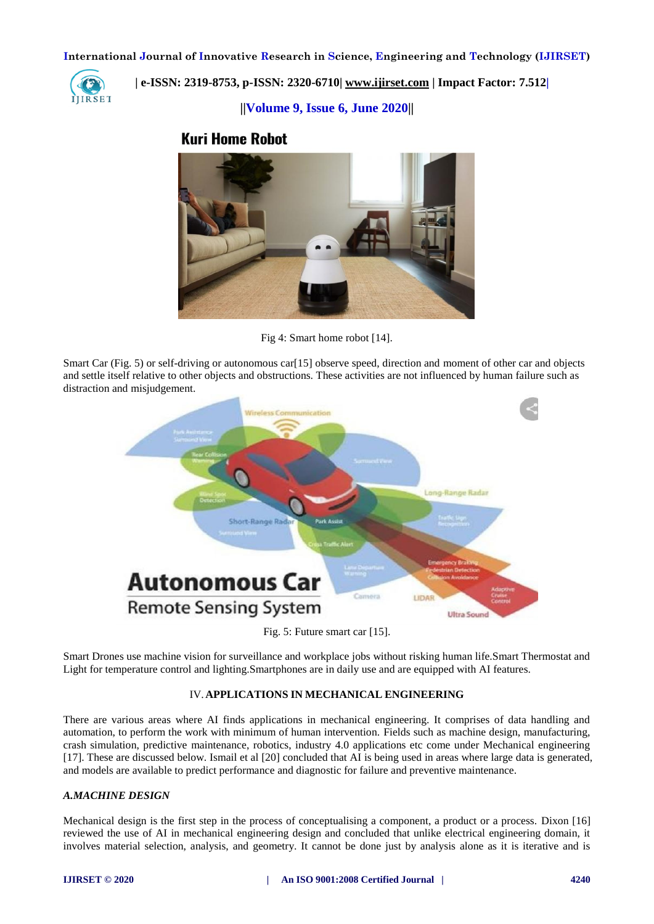

# **| e-ISSN: 2319-8753, p-ISSN: 2320-6710| [www.ijirset.com](http://www.ijirset.com/) | Impact Factor: 7.512|**

**||Volume 9, Issue 6, June 2020||** 

# **Kuri Home Robot**



Fig 4: Smart home robot [14].

Smart Car (Fig. 5) or self-driving or autonomous car [15] observe speed, direction and moment of other car and objects and settle itself relative to other objects and obstructions. These activities are not influenced by human failure such as distraction and misjudgement.



Fig. 5: Future smart car [15].

Smart Drones use machine vision for surveillance and workplace jobs without risking human life.Smart Thermostat and Light for temperature control and lighting.Smartphones are in daily use and are equipped with AI features.

# IV.**APPLICATIONS IN MECHANICAL ENGINEERING**

There are various areas where AI finds applications in mechanical engineering. It comprises of data handling and automation, to perform the work with minimum of human intervention. Fields such as machine design, manufacturing, crash simulation, predictive maintenance, robotics, industry 4.0 applications etc come under Mechanical engineering [17]. These are discussed below. Ismail et al [20] concluded that AI is being used in areas where large data is generated, and models are available to predict performance and diagnostic for failure and preventive maintenance.

# *A.MACHINE DESIGN*

Mechanical design is the first step in the process of conceptualising a component, a product or a process. Dixon [16] reviewed the use of AI in mechanical engineering design and concluded that unlike electrical engineering domain, it involves material selection, analysis, and geometry. It cannot be done just by analysis alone as it is iterative and is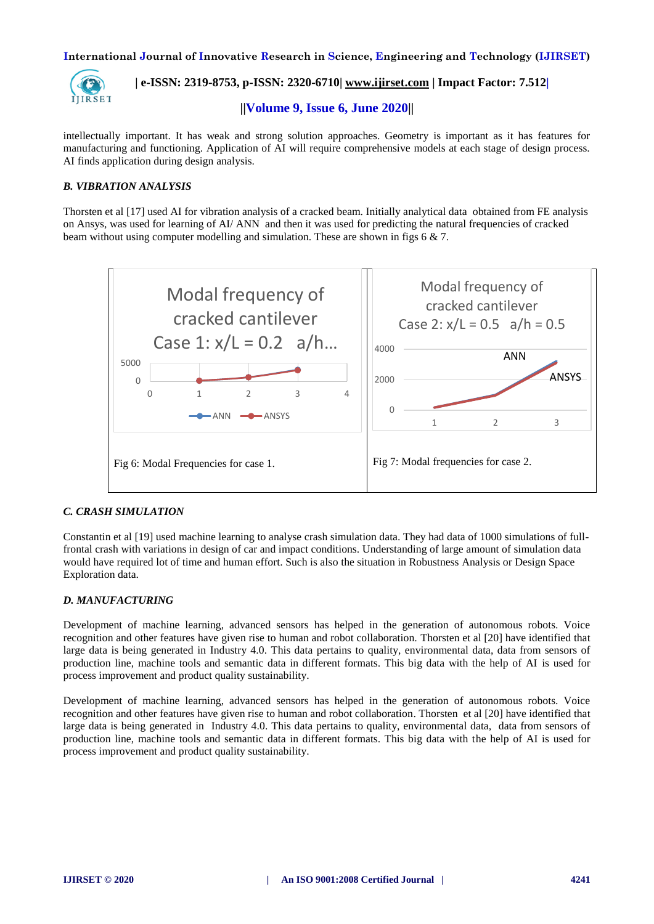

# **| e-ISSN: 2319-8753, p-ISSN: 2320-6710| [www.ijirset.com](http://www.ijirset.com/) | Impact Factor: 7.512|**

**||Volume 9, Issue 6, June 2020||** 

intellectually important. It has weak and strong solution approaches. Geometry is important as it has features for manufacturing and functioning. Application of AI will require comprehensive models at each stage of design process. AI finds application during design analysis.

## *B. VIBRATION ANALYSIS*

Thorsten et al [17] used AI for vibration analysis of a cracked beam. Initially analytical data obtained from FE analysis on Ansys, was used for learning of AI/ ANN and then it was used for predicting the natural frequencies of cracked beam without using computer modelling and simulation. These are shown in figs 6  $\&$  7.



### *C. CRASH SIMULATION*

Constantin et al [19] used machine learning to analyse crash simulation data. They had data of 1000 simulations of fullfrontal crash with variations in design of car and impact conditions. Understanding of large amount of simulation data would have required lot of time and human effort. Such is also the situation in Robustness Analysis or Design Space Exploration data.

### *D. MANUFACTURING*

Development of machine learning, advanced sensors has helped in the generation of autonomous robots. Voice recognition and other features have given rise to human and robot collaboration. Thorsten et al [20] have identified that large data is being generated in Industry 4.0. This data pertains to quality, environmental data, data from sensors of production line, machine tools and semantic data in different formats. This big data with the help of AI is used for process improvement and product quality sustainability.

Development of machine learning, advanced sensors has helped in the generation of autonomous robots. Voice recognition and other features have given rise to human and robot collaboration. Thorsten et al [20] have identified that large data is being generated in Industry 4.0. This data pertains to quality, environmental data, data from sensors of production line, machine tools and semantic data in different formats. This big data with the help of AI is used for process improvement and product quality sustainability.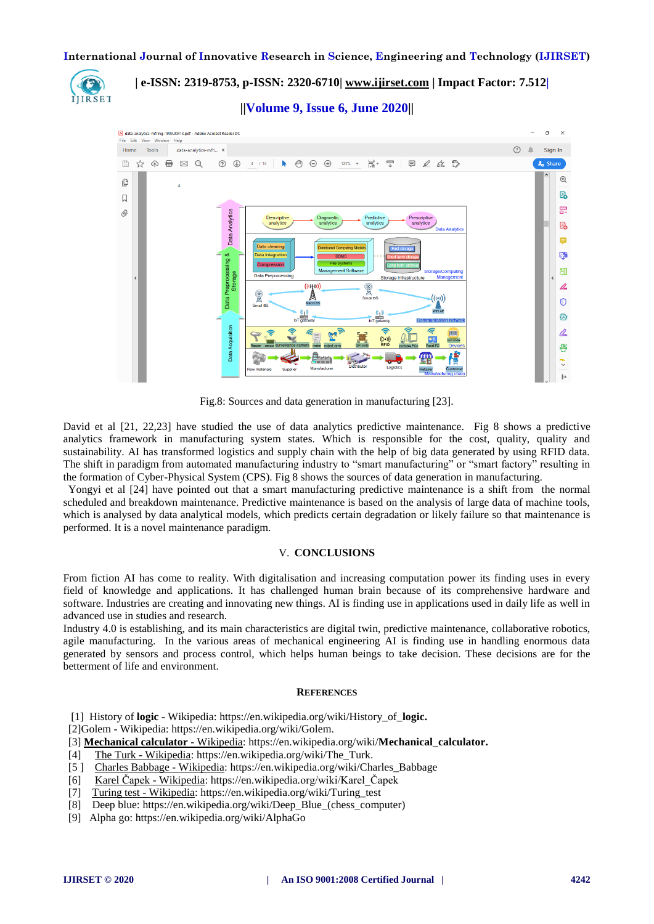

# **| e-ISSN: 2319-8753, p-ISSN: 2320-6710| [www.ijirset.com](http://www.ijirset.com/) | Impact Factor: 7.512|**

**||Volume 9, Issue 6, June 2020||** 



Fig.8: Sources and data generation in manufacturing [23].

David et al [21, 22,23] have studied the use of data analytics predictive maintenance. Fig 8 shows a predictive analytics framework in manufacturing system states. Which is responsible for the cost, quality, quality and sustainability. AI has transformed logistics and supply chain with the help of big data generated by using RFID data. The shift in paradigm from automated manufacturing industry to "smart manufacturing" or "smart factory" resulting in the formation of Cyber-Physical System (CPS). Fig 8 shows the sources of data generation in manufacturing.

Yongyi et al [24] have pointed out that a smart manufacturing predictive maintenance is a shift from the normal scheduled and breakdown maintenance. Predictive maintenance is based on the analysis of large data of machine tools, which is analysed by data analytical models, which predicts certain degradation or likely failure so that maintenance is performed. It is a novel maintenance paradigm.

#### V. **CONCLUSIONS**

From fiction AI has come to reality. With digitalisation and increasing computation power its finding uses in every field of knowledge and applications. It has challenged human brain because of its comprehensive hardware and software. Industries are creating and innovating new things. AI is finding use in applications used in daily life as well in advanced use in studies and research.

Industry 4.0 is establishing, and its main characteristics are digital twin, predictive maintenance, collaborative robotics, agile manufacturing. In the various areas of mechanical engineering AI is finding use in handling enormous data generated by sensors and process control, which helps human beings to take decision. These decisions are for the betterment of life and environment.

#### **REFERENCES**

[1] History of **logic** - [Wikipedia:](History%20of logic -%20Wikipedia) [https://en.wikipedia.org/wiki/History\\_of\\_](https://en.wikipedia.org/wiki/History_of_logic)**logic.**

[2]Golem - [Wikipedia: https://en.wikipedia.org/wiki/Golem.](https://en.wikipedia.org/wiki/Golem)

- [3] **[Mechanical calculator](Mechanical%20calculator -%20Wikipedia)** Wikipedia: [https://en.wikipedia.org/wiki/](https://en.wikipedia.org/wiki/Mechanical_calculator)**Mechanical**\_**calculator.**
- [4] The Turk [Wikipedia:](The Turk -%20Wikipedia) [https://en.wikipedia.org/wiki/The\\_Turk.](https://en.wikipedia.org/wiki/The_Turk)
- [5 ] [Charles Babbage](Charles%20Babbage -%20Wikipedia) Wikipedia[: https://en.wikipedia.org/wiki/Charles\\_Babbage](https://en.wikipedia.org/wiki/Charles_Babbage)
- [6] Karel Čapek [Wikipedia:](Karel Čapek%20-%20Wikipedia) https://en.wikipedia.org/wiki/Karel Čapek
- [7] [Turing test](Turing%20test -%20Wikipedia) Wikipedia[: https://en.wikipedia.org/wiki/Turing\\_test](https://en.wikipedia.org/wiki/Turing_test)
- [8] Deep blue: [https://en.wikipedia.org/wiki/Deep\\_Blue\\_\(chess\\_computer\)](https://en.wikipedia.org/wiki/Deep_Blue_(chess_computer))
- [9] Alpha go: https://en.wikipedia.org/wiki/AlphaGo